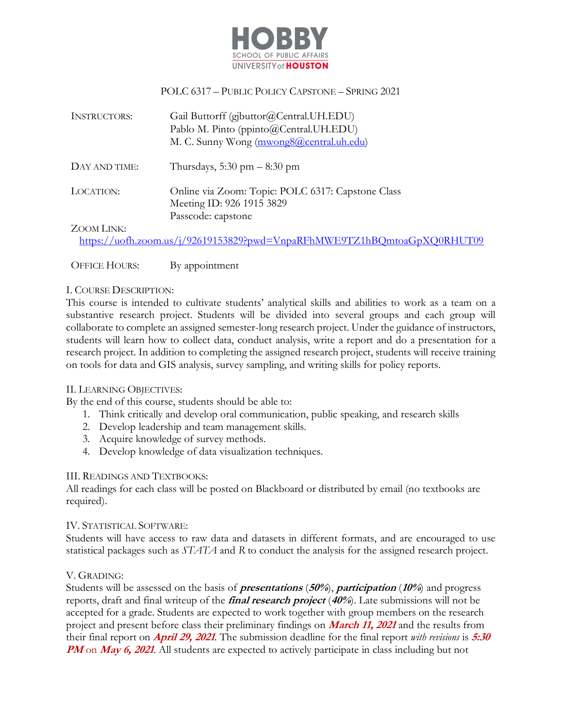

## POLC 6317 – PUBLIC POLICY CAPSTONE – SPRING 2021

| <b>INSTRUCTORS:</b> | Gail Buttorff (gjbuttor@Central.UH.EDU)<br>Pablo M. Pinto (ppinto@Central.UH.EDU)<br>M. C. Sunny Wong (mwong8@central.uh.edu) |
|---------------------|-------------------------------------------------------------------------------------------------------------------------------|
| DAY AND TIME:       | Thursdays, 5:30 pm $-8:30$ pm                                                                                                 |
| LOCATION:           | Online via Zoom: Topic: POLC 6317: Capstone Class<br>Meeting ID: 926 1915 3829<br>Passcode: capstone                          |
| ZOOM LINK:          |                                                                                                                               |

https://uofh.zoom.us/j/92619153829?pwd=VnpaRFhMWE9TZ1hBQmtoaGpXQ0RHUT09

OFFICE HOURS: By appointment

### I. COURSE DESCRIPTION:

This course is intended to cultivate students' analytical skills and abilities to work as a team on a substantive research project. Students will be divided into several groups and each group will collaborate to complete an assigned semester-long research project. Under the guidance of instructors, students will learn how to collect data, conduct analysis, write a report and do a presentation for a research project. In addition to completing the assigned research project, students will receive training on tools for data and GIS analysis, survey sampling, and writing skills for policy reports.

#### II. LEARNING OBJECTIVES:

By the end of this course, students should be able to:

- 1. Think critically and develop oral communication, public speaking, and research skills
- 2. Develop leadership and team management skills.
- 3. Acquire knowledge of survey methods.
- 4. Develop knowledge of data visualization techniques.

#### III. READINGS AND TEXTBOOKS:

All readings for each class will be posted on Blackboard or distributed by email (no textbooks are required).

#### IV. STATISTICAL SOFTWARE:

Students will have access to raw data and datasets in different formats, and are encouraged to use statistical packages such as *STATA* and *R* to conduct the analysis for the assigned research project.

### V. GRADING:

Students will be assessed on the basis of **presentations** (**50%**), **participation** (**10%**) and progress reports, draft and final writeup of the **final research project** (**40%**). Late submissions will not be accepted for a grade. Students are expected to work together with group members on the research project and present before class their preliminary findings on **March 11, <sup>2021</sup>** and the results from their final report on **April 29, 2021**. The submission deadline for the final report *with revisions* is **5:30 PM** on **May 6, 2021**. All students are expected to actively participate in class including but not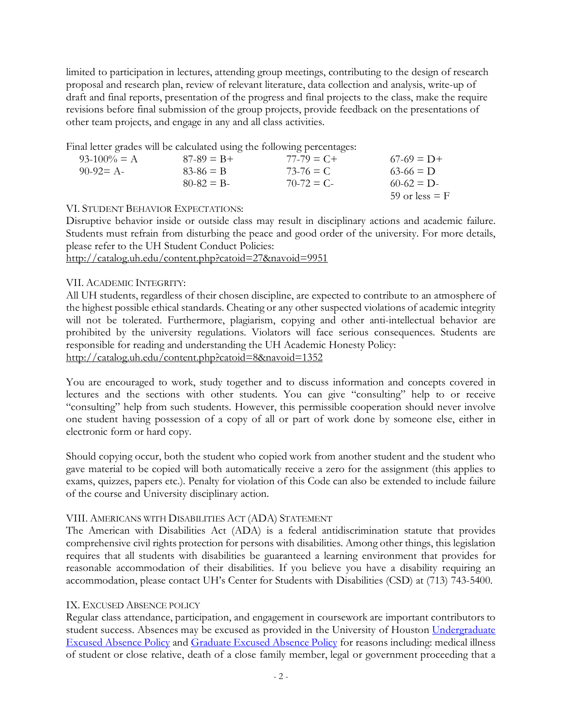limited to participation in lectures, attending group meetings, contributing to the design of research proposal and research plan, review of relevant literature, data collection and analysis, write-up of draft and final reports, presentation of the progress and final projects to the class, make the require revisions before final submission of the group projects, provide feedback on the presentations of other team projects, and engage in any and all class activities.

Final letter grades will be calculated using the following percentages:

| $93-100% = A$ | $87-89 = B +$ | $77-79 = C +$    | $67-69 = D+$     |
|---------------|---------------|------------------|------------------|
| 90-92= A-     | $83 - 86 = B$ | $73-76 \equiv C$ | $63-66 \equiv 1$ |
|               | $80-82 = B$   | $70-72 = C$      | $60-62 = D$      |
|               |               |                  | 59 or less $=$ F |

### VI. STUDENT BEHAVIOR EXPECTATIONS:

Disruptive behavior inside or outside class may result in disciplinary actions and academic failure. Students must refrain from disturbing the peace and good order of the university. For more details, please refer to the UH Student Conduct Policies:

http://catalog.uh.edu/content.php?catoid=27&navoid=9951

### VII. ACADEMIC INTEGRITY:

electronic form or hard copy.

All UH students, regardless of their chosen discipline, are expected to contribute to an atmosphere of the highest possible ethical standards. Cheating or any other suspected violations of academic integrity will not be tolerated. Furthermore, plagiarism, copying and other anti-intellectual behavior are prohibited by the university regulations. Violators will face serious consequences. Students are responsible for reading and understanding the UH Academic Honesty Policy: http://catalog.uh.edu/content.php?catoid=8&navoid=1352

You are encouraged to work, study together and to discuss information and concepts covered in lectures and the sections with other students. You can give "consulting" help to or receive "consulting" help from such students. However, this permissible cooperation should never involve one student having possession of a copy of all or part of work done by someone else, either in

Should copying occur, both the student who copied work from another student and the student who gave material to be copied will both automatically receive a zero for the assignment (this applies to exams, quizzes, papers etc.). Penalty for violation of this Code can also be extended to include failure of the course and University disciplinary action.

### VIII. AMERICANS WITH DISABILITIES ACT (ADA) STATEMENT

The American with Disabilities Act (ADA) is a federal antidiscrimination statute that provides comprehensive civil rights protection for persons with disabilities. Among other things, this legislation requires that all students with disabilities be guaranteed a learning environment that provides for reasonable accommodation of their disabilities. If you believe you have a disability requiring an accommodation, please contact UH's Center for Students with Disabilities (CSD) at (713) 743-5400.

### IX. EXCUSED ABSENCE POLICY

Regular class attendance, participation, and engagement in coursework are important contributors to student success. Absences may be excused as provided in the University of Houston Undergraduate Excused Absence Policy and Graduate Excused Absence Policy for reasons including: medical illness of student or close relative, death of a close family member, legal or government proceeding that a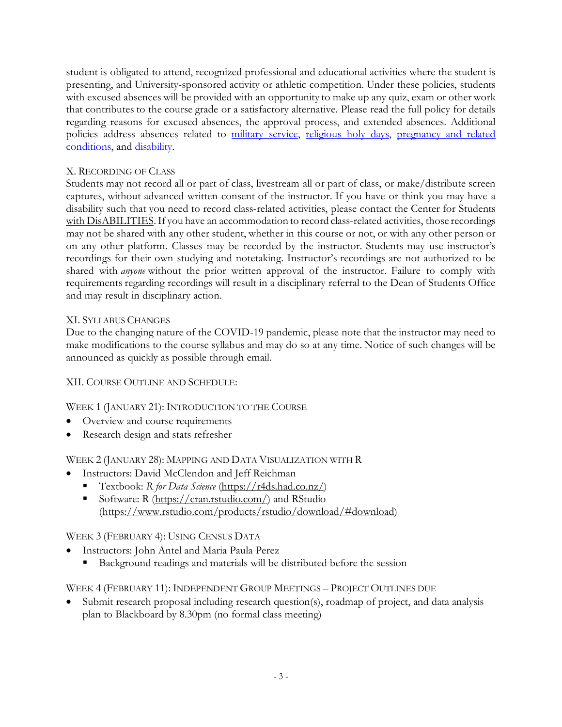student is obligated to attend, recognized professional and educational activities where the student is presenting, and University-sponsored activity or athletic competition. Under these policies, students with excused absences will be provided with an opportunity to make up any quiz, exam or other work that contributes to the course grade or a satisfactory alternative. Please read the full policy for details regarding reasons for excused absences, the approval process, and extended absences. Additional policies address absences related to military service, religious holy days, pregnancy and related conditions, and disability.

# X. RECORDING OF CLASS

Students may not record all or part of class, livestream all or part of class, or make/distribute screen captures, without advanced written consent of the instructor. If you have or think you may have a disability such that you need to record class-related activities, please contact the Center for Students with DisABILITIES. If you have an accommodation to record class-related activities, those recordings may not be shared with any other student, whether in this course or not, or with any other person or on any other platform. Classes may be recorded by the instructor. Students may use instructor's recordings for their own studying and notetaking. Instructor's recordings are not authorized to be shared with *anyone* without the prior written approval of the instructor. Failure to comply with requirements regarding recordings will result in a disciplinary referral to the Dean of Students Office and may result in disciplinary action.

# XI. SYLLABUS CHANGES

Due to the changing nature of the COVID-19 pandemic, please note that the instructor may need to make modifications to the course syllabus and may do so at any time. Notice of such changes will be announced as quickly as possible through email.

### XII. COURSE OUTLINE AND SCHEDULE:

WEEK 1 (JANUARY 21): INTRODUCTION TO THE COURSE

- Overview and course requirements
- Research design and stats refresher

WEEK 2 (JANUARY 28): MAPPING AND DATA VISUALIZATION WITH R

- Instructors: David McClendon and Jeff Reichman
	- § Textbook: *R for Data Science* (https://r4ds.had.co.nz/)
	- Software: R (https://cran.rstudio.com/) and RStudio (https://www.rstudio.com/products/rstudio/download/#download)

# WEEK 3 (FEBRUARY 4): USING CENSUS DATA

- Instructors: John Antel and Maria Paula Perez
	- Background readings and materials will be distributed before the session

WEEK 4 (FEBRUARY 11): INDEPENDENT GROUP MEETINGS – PROJECT OUTLINES DUE

• Submit research proposal including research question(s), roadmap of project, and data analysis plan to Blackboard by 8.30pm (no formal class meeting)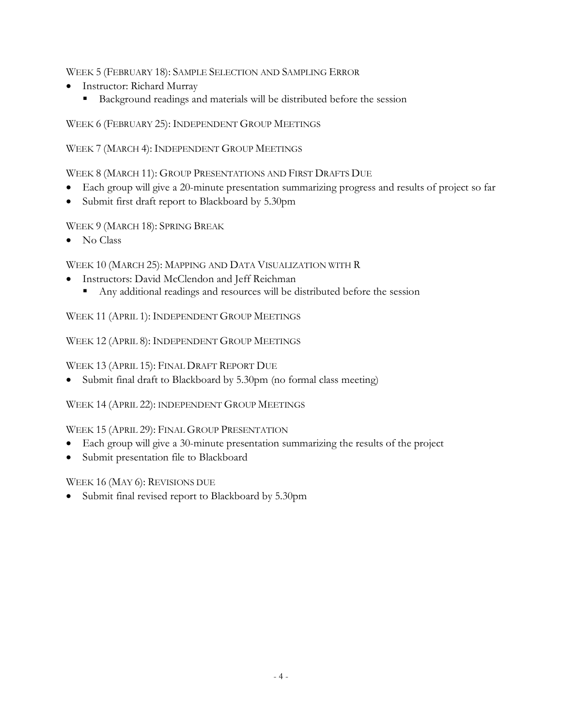WEEK 5 (FEBRUARY 18): SAMPLE SELECTION AND SAMPLING ERROR

- Instructor: Richard Murray
	- Background readings and materials will be distributed before the session

WEEK 6 (FEBRUARY 25): INDEPENDENT GROUP MEETINGS

WEEK 7 (MARCH 4): INDEPENDENT GROUP MEETINGS

WEEK 8 (MARCH 11): GROUP PRESENTATIONS AND FIRST DRAFTS DUE

- Each group will give a 20-minute presentation summarizing progress and results of project so far
- Submit first draft report to Blackboard by 5.30pm

WEEK 9 (MARCH 18): SPRING BREAK

• No Class

WEEK 10 (MARCH 25): MAPPING AND DATA VISUALIZATION WITH R

- Instructors: David McClendon and Jeff Reichman
	- Any additional readings and resources will be distributed before the session

WEEK 11 (APRIL 1): INDEPENDENT GROUP MEETINGS

WEEK 12 (APRIL 8): INDEPENDENT GROUP MEETINGS

WEEK 13 (APRIL 15): FINAL DRAFT REPORT DUE

• Submit final draft to Blackboard by 5.30pm (no formal class meeting)

WEEK 14 (APRIL 22): INDEPENDENT GROUP MEETINGS

WEEK 15 (APRIL 29): FINAL GROUP PRESENTATION

- Each group will give a 30-minute presentation summarizing the results of the project
- Submit presentation file to Blackboard

WEEK 16 (MAY 6): REVISIONS DUE

• Submit final revised report to Blackboard by 5.30pm